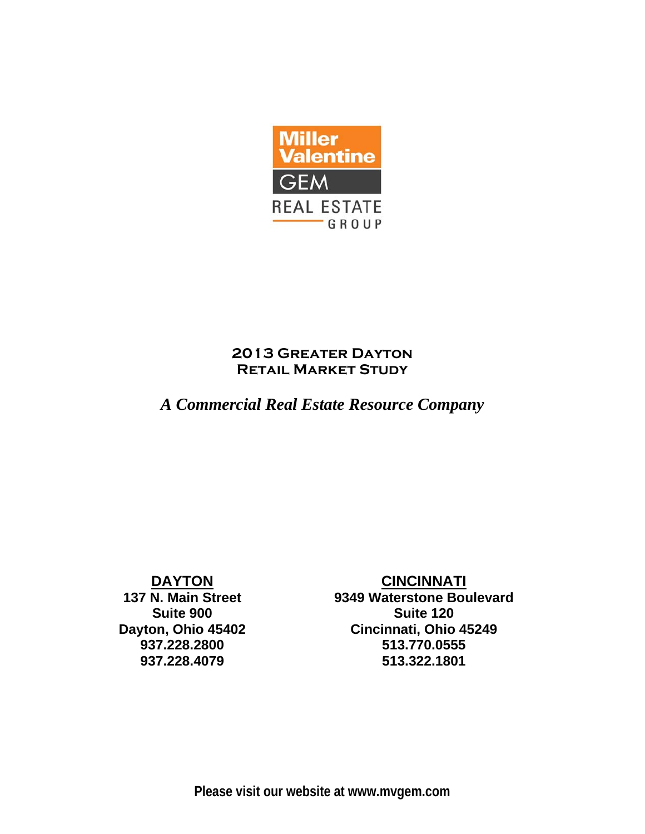

# **2013 Greater Dayton Retail Market Study**

# *A Commercial Real Estate Resource Company*

# **DAYTON**

**137 N. Main Street Suite 900 Dayton, Ohio 45402 937.228.2800 937.228.4079** 

**CINCINNATI 9349 Waterstone Boulevard Suite 120 Cincinnati, Ohio 45249 513.770.0555 513.322.1801**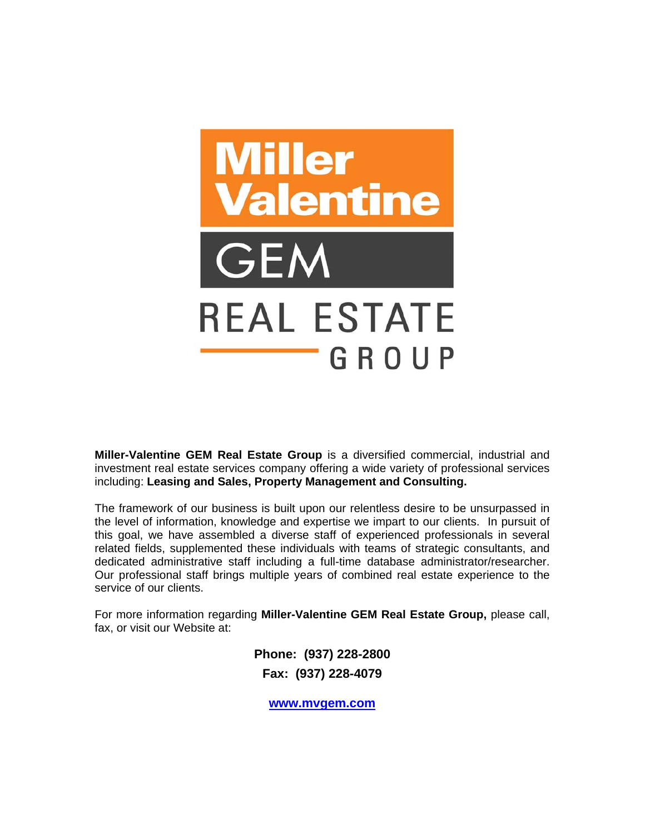

**Miller-Valentine GEM Real Estate Group** is a diversified commercial, industrial and investment real estate services company offering a wide variety of professional services including: **Leasing and Sales, Property Management and Consulting.**

The framework of our business is built upon our relentless desire to be unsurpassed in the level of information, knowledge and expertise we impart to our clients. In pursuit of this goal, we have assembled a diverse staff of experienced professionals in several related fields, supplemented these individuals with teams of strategic consultants, and dedicated administrative staff including a full-time database administrator/researcher. Our professional staff brings multiple years of combined real estate experience to the service of our clients.

For more information regarding **Miller-Valentine GEM Real Estate Group,** please call, fax, or visit our Website at:

> **Phone: (937) 228-2800 Fax: (937) 228-4079**

> > **www.mvgem.com**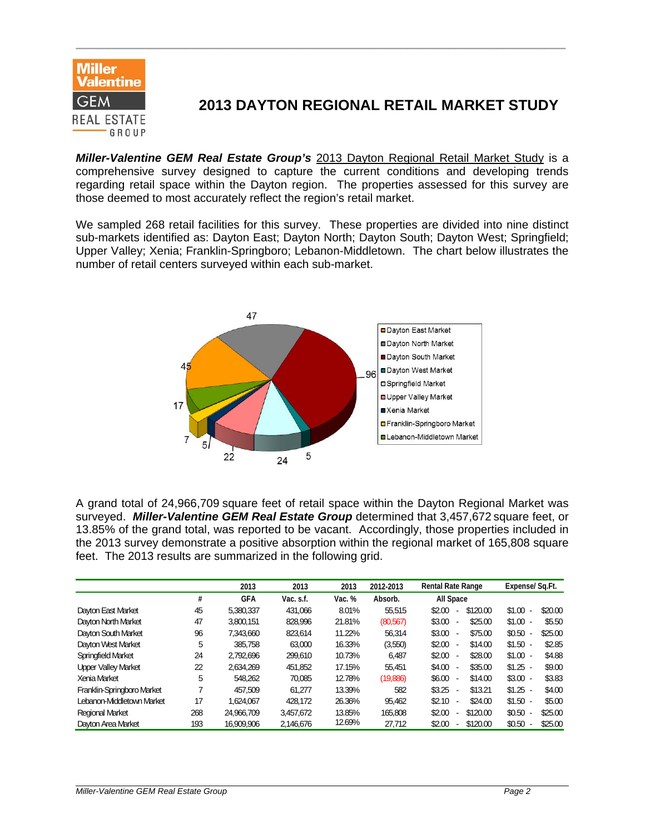

# **2013 DAYTON REGIONAL RETAIL MARKET STUDY**

*Miller-Valentine GEM Real Estate Group's* 2013 Dayton Regional Retail Market Study is a comprehensive survey designed to capture the current conditions and developing trends regarding retail space within the Dayton region. The properties assessed for this survey are those deemed to most accurately reflect the region's retail market.

**\_\_\_\_\_\_\_\_\_\_\_\_\_\_\_\_\_\_\_\_\_\_\_\_\_\_\_\_\_\_\_\_\_\_\_\_\_\_\_\_\_\_\_\_\_\_\_\_\_\_\_\_\_\_\_\_\_\_\_\_\_\_\_\_\_\_\_\_\_\_\_\_\_\_\_\_\_\_\_\_\_\_\_\_\_\_\_\_\_\_\_\_\_**

We sampled 268 retail facilities for this survey. These properties are divided into nine distinct sub-markets identified as: Dayton East; Dayton North; Dayton South; Dayton West; Springfield; Upper Valley; Xenia; Franklin-Springboro; Lebanon-Middletown. The chart below illustrates the number of retail centers surveyed within each sub-market.



A grand total of 24,966,709 square feet of retail space within the Dayton Regional Market was surveyed. *Miller-Valentine GEM Real Estate Group* determined that 3,457,672 square feet, or 13.85% of the grand total, was reported to be vacant. Accordingly, those properties included in the 2013 survey demonstrate a positive absorption within the regional market of 165,808 square feet. The 2013 results are summarized in the following grid.

|                            |     | 2013       | 2013      | 2013   | 2012-2013 | <b>Rental Rate Range</b>    | Expense/Sq.Ft.       |
|----------------------------|-----|------------|-----------|--------|-----------|-----------------------------|----------------------|
|                            | #   | <b>GFA</b> | Vac. s.f. | Vac. % | Absorb.   | All Space                   |                      |
| Dayton East Market         | 45  | 5,380,337  | 431.066   | 8.01%  | 55,515    | \$120.00<br>\$2.00          | \$20.00<br>$$1.00 -$ |
| Dayton North Market        | 47  | 3,800,151  | 828,996   | 21.81% | (80, 567) | \$3.00<br>\$25.00<br>$\sim$ | $$1.00 -$<br>\$5.50  |
| Dayton South Market        | 96  | 7.343.660  | 823.614   | 11.22% | 56.314    | \$3.00<br>\$75.00<br>$\sim$ | $$0.50 -$<br>\$25.00 |
| Dayton West Market         | 5   | 385.758    | 63.000    | 16.33% | (3,550)   | \$2.00<br>\$14.00<br>$\sim$ | $$1.50 -$<br>\$2.85  |
| Springfield Market         | 24  | 2.792.696  | 299.610   | 10.73% | 6.487     | \$2.00<br>\$28.00<br>$\sim$ | $$1.00 -$<br>\$4.88  |
| <b>Upper Valley Market</b> | 22  | 2.634.269  | 451.852   | 17.15% | 55.451    | \$4.00<br>\$35.00<br>$\sim$ | $$1.25 -$<br>\$9.00  |
| Xenia Market               | 5   | 548.262    | 70.085    | 12.78% | (19,886)  | \$6.00<br>\$14.00<br>$\sim$ | $$3.00 -$<br>\$3.83  |
| Franklin-Springboro Market |     | 457.509    | 61.277    | 13.39% | 582       | \$3.25<br>\$13.21<br>$\sim$ | $$1.25 -$<br>\$4.00  |
| Lebanon-Middletown Market  | 17  | 1.624.067  | 428.172   | 26.36% | 95,462    | \$2.10<br>\$24.00<br>$\sim$ | $$1.50 -$<br>\$5.00  |
| <b>Regional Market</b>     | 268 | 24.966.709 | 3.457.672 | 13.85% | 165.808   | \$2.00<br>\$120.00<br>٠     | $$0.50 -$<br>\$25.00 |
| Davton Area Market         | 193 | 16.909.906 | 2.146.676 | 12.69% | 27.712    | \$2.00<br>\$120.00          | \$25.00<br>$$0.50 -$ |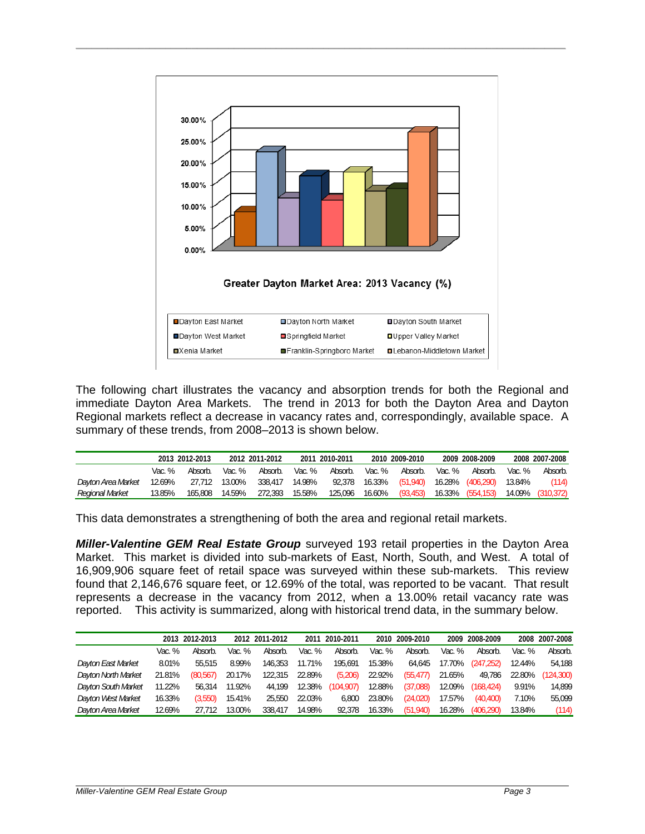

**\_\_\_\_\_\_\_\_\_\_\_\_\_\_\_\_\_\_\_\_\_\_\_\_\_\_\_\_\_\_\_\_\_\_\_\_\_\_\_\_\_\_\_\_\_\_\_\_\_\_\_\_\_\_\_\_\_\_\_\_\_\_\_\_\_\_\_\_\_\_\_\_\_\_\_\_\_\_\_\_\_\_\_\_\_\_\_\_\_\_\_\_\_**

The following chart illustrates the vacancy and absorption trends for both the Regional and immediate Dayton Area Markets. The trend in 2013 for both the Dayton Area and Dayton Regional markets reflect a decrease in vacancy rates and, correspondingly, available space. A summary of these trends, from 2008–2013 is shown below.

|                    | 2013 2012-2013 |         | 2012 2011-2012 |                |               | 2011 2010-2011 | 2010 2009-2010 |  | 2009 2008-2009 |                                                                                    | 2008 2007-2008 |         |
|--------------------|----------------|---------|----------------|----------------|---------------|----------------|----------------|--|----------------|------------------------------------------------------------------------------------|----------------|---------|
|                    | Vac. %         | Absorb. | Vac. %         |                | Absorb. Vac.% |                |                |  |                | Absorb. Vac.% Absorb. Vac.% Absorb. Vac.%                                          |                | Absorb. |
| Dayton Area Market |                |         |                |                |               |                |                |  |                | 12.69% 27,712 13.00% 338,417 14.98% 92,378 16.33% (51,940) 16.28% (406,290) 13.84% |                | (114)   |
| Regional Market    | 13.85%         | 165.808 | 14.59%         | 272,393 15.58% |               |                |                |  |                | 125,096  16.60%  (93,453)  16.33%  (554,153)  14.09%  (310,372)                    |                |         |

This data demonstrates a strengthening of both the area and regional retail markets.

*Miller-Valentine GEM Real Estate Group* surveyed 193 retail properties in the Dayton Area Market. This market is divided into sub-markets of East, North, South, and West. A total of 16,909,906 square feet of retail space was surveyed within these sub-markets. This review found that 2,146,676 square feet, or 12.69% of the total, was reported to be vacant. That result represents a decrease in the vacancy from 2012, when a 13.00% retail vacancy rate was reported. This activity is summarized, along with historical trend data, in the summary below.

|                     |          | 2013 2012-2013 |          | 2012 2011-2012 |        | 2011 2010-2011 |        | 2010 2009-2010 |          | 2009 2008-2009 |        | 2008 2007-2008 |
|---------------------|----------|----------------|----------|----------------|--------|----------------|--------|----------------|----------|----------------|--------|----------------|
|                     | Vac. $%$ | Absorb.        | Vac. $%$ | Absorb.        | Vac. % | Absorb.        | Vac. % | Absorb.        | Vac. $%$ | Absorb.        | Vac. % | Absorb.        |
| Dayton East Market  | 8.01%    | 55.515         | 8.99%    | 146.353        | 11.71% | 195.691        | 15.38% | 64.645         | 17.70%   | (247.252)      | 12.44% | 54,188         |
| Dayton North Market | 21.81%   | (80.567)       | 20.17%   | 122.315        | 22.89% | (5,206)        | 22.92% | (55.477)       | 21.65%   | 49.786         | 22.80% | (124, 300)     |
| Dayton South Market | 11.22%   | 56.314         | 11.92%   | 44.199         | 12.38% | (104.907)      | 12.88% | (37,088)       | 12.09%   | (168.424)      | 9.91%  | 14,899         |
| Dayton West Market  | 16.33%   | (3.550)        | 15.41%   | 25.550         | 22.03% | 6.800          | 23.80% | (24, 020)      | 17.57%   | (40.400)       | 7.10%  | 55,099         |
| Dayton Area Market  | 12.69%   | 27.712         | 13.00%   | 338.417        | 14.98% | 92.378         | 16.33% | (51, 940)      | 16.28%   | (406, 290)     | 13.84% | (114)          |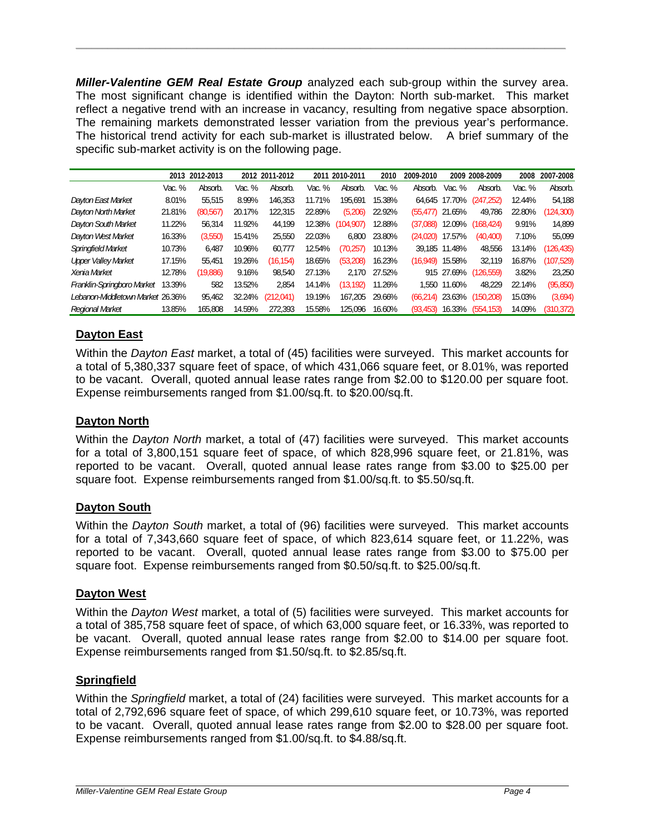*Miller-Valentine GEM Real Estate Group* analyzed each sub-group within the survey area. The most significant change is identified within the Dayton: North sub-market. This market reflect a negative trend with an increase in vacancy, resulting from negative space absorption. The remaining markets demonstrated lesser variation from the previous year's performance. The historical trend activity for each sub-market is illustrated below. A brief summary of the specific sub-market activity is on the following page.

**\_\_\_\_\_\_\_\_\_\_\_\_\_\_\_\_\_\_\_\_\_\_\_\_\_\_\_\_\_\_\_\_\_\_\_\_\_\_\_\_\_\_\_\_\_\_\_\_\_\_\_\_\_\_\_\_\_\_\_\_\_\_\_\_\_\_\_\_\_\_\_\_\_\_\_\_\_\_\_\_\_\_\_\_\_\_\_\_\_\_\_\_\_**

|                                  | 2013 2012-2013 |           | 2012 2011-2012 |           | 2010-2011<br>2011 |           | 2010   | 2009-2010         | 2009          | 2008-2009  |        | 2007-2008  |
|----------------------------------|----------------|-----------|----------------|-----------|-------------------|-----------|--------|-------------------|---------------|------------|--------|------------|
|                                  | Vac. %         | Absorb.   | Vac. %         | Absorb.   | Vac. %            | Absorb.   | Vac. % | Absorb.           | Vac. %        | Absorb.    | Vac. % | Absorb.    |
| Dayton East Market               | 8.01%          | 55.515    | 8.99%          | 146.353   | 11.71%            | 195.691   | 15.38% | 64.645            | 17.70%        | (247.252)  | 12.44% | 54,188     |
| Dayton North Market              | 21.81%         | (80, 567) | 20.17%         | 122.315   | 22.89%            | (5.206)   | 22.92% | (55.477)          | 21.65%        | 49.786     | 22.80% | (124,300)  |
| Dayton South Market              | 11.22%         | 56.314    | 11.92%         | 44.199    | 12.38%            | (104.907) | 12.88% | (37.088)          | 12.09%        | (168.424)  | 9.91%  | 14.899     |
| Dayton West Market               | 16.33%         | (3,550)   | 15.41%         | 25.550    | 22.03%            | 6.800     | 23.80% | (24.020) 17.57%   |               | (40.400)   | 7.10%  | 55,099     |
| Springfield Market               | 10.73%         | 6.487     | 10.96%         | 60.777    | 12.54%            | (70.257)  | 10.13% |                   | 39.185 11.48% | 48,556     | 13.14% | (126, 435) |
| <b>Upper Valley Market</b>       | 17.15%         | 55.451    | 19.26%         | (16.154)  | 18.65%            | (53.208)  | 16.23% | $(16,949)$ 15.58% |               | 32.119     | 16.87% | (107, 529) |
| Xenia Market                     | 12.78%         | (19,886)  | 9.16%          | 98.540    | 27.13%            | 2.170     | 27.52% |                   | 915 27.69%    | (126.559)  | 3.82%  | 23,250     |
| Franklin-Springboro Market       | 13.39%         | 582       | 13.52%         | 2.854     | 14.14%            | (13.192)  | 11.26% |                   | 1.550 11.60%  | 48.229     | 22.14% | (95, 850)  |
| Lebanon-Middletown Market 26.36% |                | 95.462    | 32.24%         | (212.041) | 19.19%            | 167.205   | 29.66% | (66.214)          | 23.63%        | (150.208)  | 15.03% | (3,694)    |
| Regional Market                  | 13.85%         | 165.808   | 14.59%         | 272.393   | 15.58%            | 125.096   | 16.60% | (93.453)          | 16.33%        | (554, 153) | 14.09% | (310, 372) |

### **Dayton East**

Within the *Dayton East* market, a total of (45) facilities were surveyed. This market accounts for a total of 5,380,337 square feet of space, of which 431,066 square feet, or 8.01%, was reported to be vacant. Overall, quoted annual lease rates range from \$2.00 to \$120.00 per square foot. Expense reimbursements ranged from \$1.00/sq.ft. to \$20.00/sq.ft.

#### **Dayton North**

Within the *Dayton North* market, a total of (47) facilities were surveyed. This market accounts for a total of 3,800,151 square feet of space, of which 828,996 square feet, or 21.81%, was reported to be vacant. Overall, quoted annual lease rates range from \$3.00 to \$25.00 per square foot. Expense reimbursements ranged from \$1.00/sq.ft. to \$5.50/sq.ft.

#### **Dayton South**

Within the *Dayton South* market, a total of (96) facilities were surveyed. This market accounts for a total of 7,343,660 square feet of space, of which 823,614 square feet, or 11.22%, was reported to be vacant. Overall, quoted annual lease rates range from \$3.00 to \$75.00 per square foot. Expense reimbursements ranged from \$0.50/sq.ft. to \$25.00/sq.ft.

#### **Dayton West**

Within the *Dayton West* market, a total of (5) facilities were surveyed. This market accounts for a total of 385,758 square feet of space, of which 63,000 square feet, or 16.33%, was reported to be vacant. Overall, quoted annual lease rates range from \$2.00 to \$14.00 per square foot. Expense reimbursements ranged from \$1.50/sq.ft. to \$2.85/sq.ft.

#### **Springfield**

Within the *Springfield* market, a total of (24) facilities were surveyed. This market accounts for a total of 2,792,696 square feet of space, of which 299,610 square feet, or 10.73%, was reported to be vacant. Overall, quoted annual lease rates range from \$2.00 to \$28.00 per square foot. Expense reimbursements ranged from \$1.00/sq.ft. to \$4.88/sq.ft.